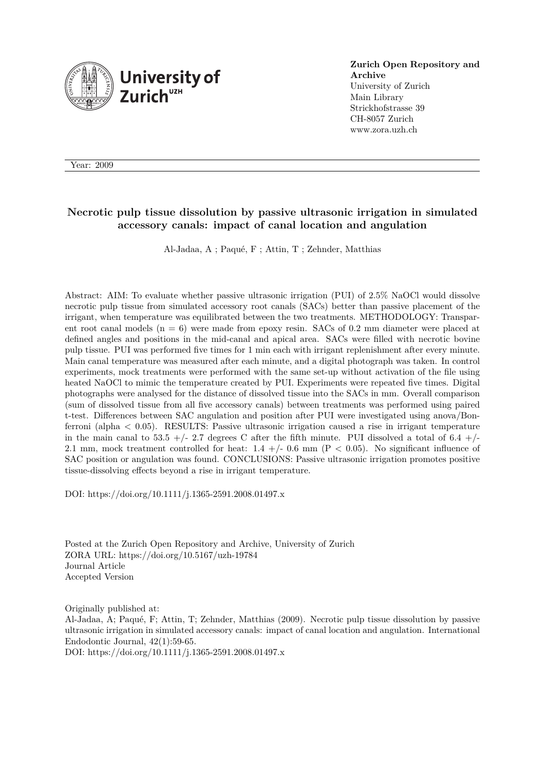

**Zurich Open Repository and Archive** University of Zurich Main Library Strickhofstrasse 39 CH-8057 Zurich www.zora.uzh.ch

Year: 2009

## **Necrotic pulp tissue dissolution by passive ultrasonic irrigation in simulated accessory canals: impact of canal location and angulation**

Al-Jadaa, A ; Paqué, F ; Attin, T ; Zehnder, Matthias

Abstract: AIM: To evaluate whether passive ultrasonic irrigation (PUI) of 2.5% NaOCl would dissolve necrotic pulp tissue from simulated accessory root canals (SACs) better than passive placement of the irrigant, when temperature was equilibrated between the two treatments. METHODOLOGY: Transparent root canal models ( $n = 6$ ) were made from epoxy resin. SACs of 0.2 mm diameter were placed at defined angles and positions in the mid-canal and apical area. SACs were filled with necrotic bovine pulp tissue. PUI was performed five times for 1 min each with irrigant replenishment after every minute. Main canal temperature was measured after each minute, and a digital photograph was taken. In control experiments, mock treatments were performed with the same set-up without activation of the file using heated NaOCl to mimic the temperature created by PUI. Experiments were repeated five times. Digital photographs were analysed for the distance of dissolved tissue into the SACs in mm. Overall comparison (sum of dissolved tissue from all five accessory canals) between treatments was performed using paired t-test. Differences between SAC angulation and position after PUI were investigated using anova/Bonferroni (alpha < 0.05). RESULTS: Passive ultrasonic irrigation caused a rise in irrigant temperature in the main canal to 53.5  $+/-$  2.7 degrees C after the fifth minute. PUI dissolved a total of 6.4  $+/-$ 2.1 mm, mock treatment controlled for heat:  $1.4 +/- 0.6$  mm ( $P < 0.05$ ). No significant influence of SAC position or angulation was found. CONCLUSIONS: Passive ultrasonic irrigation promotes positive tissue-dissolving effects beyond a rise in irrigant temperature.

DOI: https://doi.org/10.1111/j.1365-2591.2008.01497.x

Posted at the Zurich Open Repository and Archive, University of Zurich ZORA URL: https://doi.org/10.5167/uzh-19784 Journal Article Accepted Version

Originally published at: Al-Jadaa, A; Paqué, F; Attin, T; Zehnder, Matthias (2009). Necrotic pulp tissue dissolution by passive ultrasonic irrigation in simulated accessory canals: impact of canal location and angulation. International Endodontic Journal, 42(1):59-65. DOI: https://doi.org/10.1111/j.1365-2591.2008.01497.x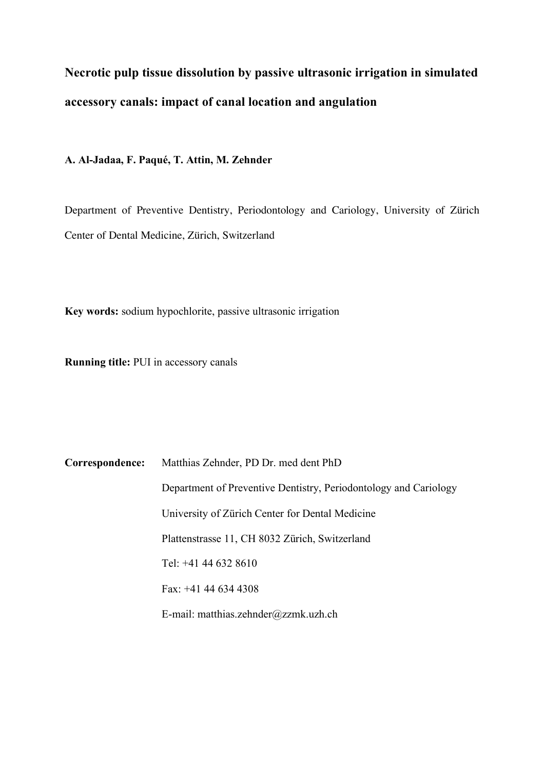# **Necrotic pulp tissue dissolution by passive ultrasonic irrigation in simulated accessory canals: impact of canal location and angulation**

**A. Al-Jadaa, F. Paqué, T. Attin, M. Zehnder**

Department of Preventive Dentistry, Periodontology and Cariology, University of Zürich Center of Dental Medicine, Zürich, Switzerland

**Key words:** sodium hypochlorite, passive ultrasonic irrigation

**Running title:** PUI in accessory canals

**Correspondence:** Matthias Zehnder, PD Dr. med dent PhD Department of Preventive Dentistry, Periodontology and Cariology University of Zürich Center for Dental Medicine Plattenstrasse 11, CH 8032 Zürich, Switzerland Tel: +41 44 632 8610 Fax: +41 44 634 4308 E-mail: matthias.zehnder@zzmk.uzh.ch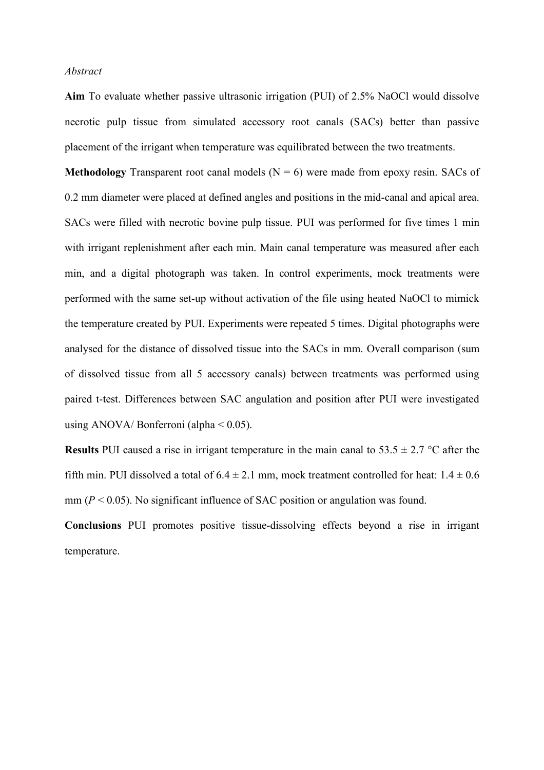#### *Abstract*

**Aim** To evaluate whether passive ultrasonic irrigation (PUI) of 2.5% NaOCl would dissolve necrotic pulp tissue from simulated accessory root canals (SACs) better than passive placement of the irrigant when temperature was equilibrated between the two treatments.

**Methodology** Transparent root canal models  $(N = 6)$  were made from epoxy resin. SACs of 0.2 mm diameter were placed at defined angles and positions in the mid-canal and apical area. SACs were filled with necrotic bovine pulp tissue. PUI was performed for five times 1 min with irrigant replenishment after each min. Main canal temperature was measured after each min, and a digital photograph was taken. In control experiments, mock treatments were performed with the same set-up without activation of the file using heated NaOCl to mimick the temperature created by PUI. Experiments were repeated 5 times. Digital photographs were analysed for the distance of dissolved tissue into the SACs in mm. Overall comparison (sum of dissolved tissue from all 5 accessory canals) between treatments was performed using paired t-test. Differences between SAC angulation and position after PUI were investigated using ANOVA/ Bonferroni (alpha < 0.05).

**Results** PUI caused a rise in irrigant temperature in the main canal to  $53.5 \pm 2.7$  °C after the fifth min. PUI dissolved a total of  $6.4 \pm 2.1$  mm, mock treatment controlled for heat:  $1.4 \pm 0.6$ mm  $(P < 0.05)$ . No significant influence of SAC position or angulation was found.

**Conclusions** PUI promotes positive tissue-dissolving effects beyond a rise in irrigant temperature.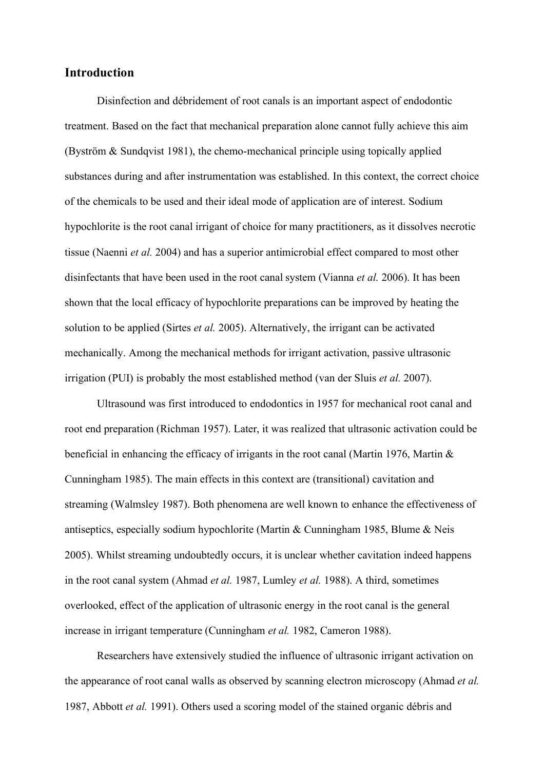## **Introduction**

Disinfection and débridement of root canals is an important aspect of endodontic treatment. Based on the fact that mechanical preparation alone cannot fully achieve this aim (Byström & Sundqvist 1981), the chemo-mechanical principle using topically applied substances during and after instrumentation was established. In this context, the correct choice of the chemicals to be used and their ideal mode of application are of interest. Sodium hypochlorite is the root canal irrigant of choice for many practitioners, as it dissolves necrotic tissue (Naenni *et al.* 2004) and has a superior antimicrobial effect compared to most other disinfectants that have been used in the root canal system (Vianna *et al.* 2006). It has been shown that the local efficacy of hypochlorite preparations can be improved by heating the solution to be applied (Sirtes *et al.* 2005). Alternatively, the irrigant can be activated mechanically. Among the mechanical methods for irrigant activation, passive ultrasonic irrigation (PUI) is probably the most established method (van der Sluis *et al.* 2007).

Ultrasound was first introduced to endodontics in 1957 for mechanical root canal and root end preparation (Richman 1957). Later, it was realized that ultrasonic activation could be beneficial in enhancing the efficacy of irrigants in the root canal (Martin 1976, Martin & Cunningham 1985). The main effects in this context are (transitional) cavitation and streaming (Walmsley 1987). Both phenomena are well known to enhance the effectiveness of antiseptics, especially sodium hypochlorite (Martin & Cunningham 1985, Blume & Neis 2005). Whilst streaming undoubtedly occurs, it is unclear whether cavitation indeed happens in the root canal system (Ahmad *et al.* 1987, Lumley *et al.* 1988). A third, sometimes overlooked, effect of the application of ultrasonic energy in the root canal is the general increase in irrigant temperature (Cunningham *et al.* 1982, Cameron 1988).

Researchers have extensively studied the influence of ultrasonic irrigant activation on the appearance of root canal walls as observed by scanning electron microscopy (Ahmad *et al.* 1987, Abbott *et al.* 1991). Others used a scoring model of the stained organic débris and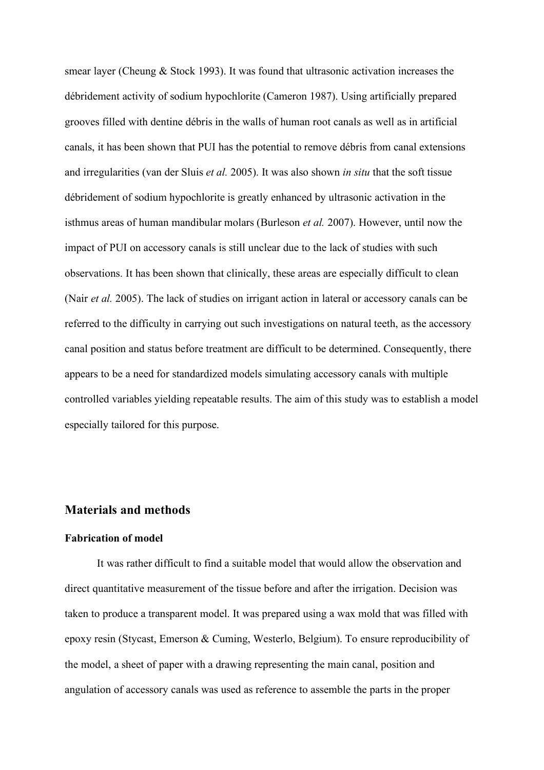smear layer (Cheung & Stock 1993). It was found that ultrasonic activation increases the débridement activity of sodium hypochlorite (Cameron 1987). Using artificially prepared grooves filled with dentine débris in the walls of human root canals as well as in artificial canals, it has been shown that PUI has the potential to remove débris from canal extensions and irregularities (van der Sluis *et al.* 2005). It was also shown *in situ* that the soft tissue débridement of sodium hypochlorite is greatly enhanced by ultrasonic activation in the isthmus areas of human mandibular molars (Burleson *et al.* 2007). However, until now the impact of PUI on accessory canals is still unclear due to the lack of studies with such observations. It has been shown that clinically, these areas are especially difficult to clean (Nair *et al.* 2005). The lack of studies on irrigant action in lateral or accessory canals can be referred to the difficulty in carrying out such investigations on natural teeth, as the accessory canal position and status before treatment are difficult to be determined. Consequently, there appears to be a need for standardized models simulating accessory canals with multiple controlled variables yielding repeatable results. The aim of this study was to establish a model especially tailored for this purpose.

## **Materials and methods**

#### **Fabrication of model**

It was rather difficult to find a suitable model that would allow the observation and direct quantitative measurement of the tissue before and after the irrigation. Decision was taken to produce a transparent model. It was prepared using a wax mold that was filled with epoxy resin (Stycast, Emerson & Cuming, Westerlo, Belgium). To ensure reproducibility of the model, a sheet of paper with a drawing representing the main canal, position and angulation of accessory canals was used as reference to assemble the parts in the proper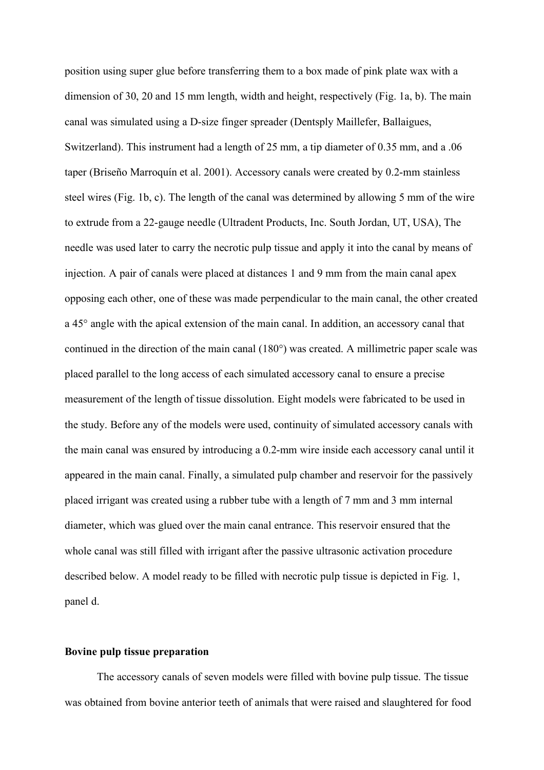position using super glue before transferring them to a box made of pink plate wax with a dimension of 30, 20 and 15 mm length, width and height, respectively (Fig. 1a, b). The main canal was simulated using a D-size finger spreader (Dentsply Maillefer, Ballaigues, Switzerland). This instrument had a length of 25 mm, a tip diameter of 0.35 mm, and a .06 taper (Briseño Marroquín et al. 2001). Accessory canals were created by 0.2-mm stainless steel wires (Fig. 1b, c). The length of the canal was determined by allowing 5 mm of the wire to extrude from a 22-gauge needle (Ultradent Products, Inc. South Jordan, UT, USA), The needle was used later to carry the necrotic pulp tissue and apply it into the canal by means of injection. A pair of canals were placed at distances 1 and 9 mm from the main canal apex opposing each other, one of these was made perpendicular to the main canal, the other created a 45° angle with the apical extension of the main canal. In addition, an accessory canal that continued in the direction of the main canal (180°) was created. A millimetric paper scale was placed parallel to the long access of each simulated accessory canal to ensure a precise measurement of the length of tissue dissolution. Eight models were fabricated to be used in the study. Before any of the models were used, continuity of simulated accessory canals with the main canal was ensured by introducing a 0.2-mm wire inside each accessory canal until it appeared in the main canal. Finally, a simulated pulp chamber and reservoir for the passively placed irrigant was created using a rubber tube with a length of 7 mm and 3 mm internal diameter, which was glued over the main canal entrance. This reservoir ensured that the whole canal was still filled with irrigant after the passive ultrasonic activation procedure described below. A model ready to be filled with necrotic pulp tissue is depicted in Fig. 1, panel d.

## **Bovine pulp tissue preparation**

The accessory canals of seven models were filled with bovine pulp tissue. The tissue was obtained from bovine anterior teeth of animals that were raised and slaughtered for food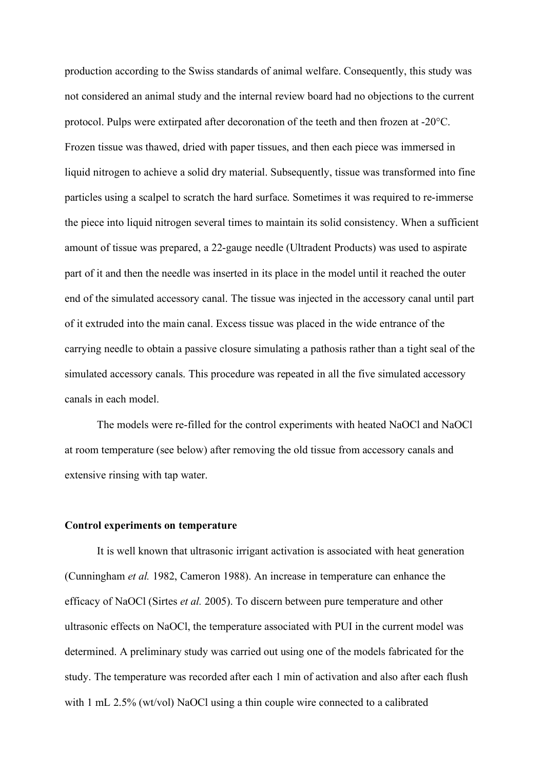production according to the Swiss standards of animal welfare. Consequently, this study was not considered an animal study and the internal review board had no objections to the current protocol. Pulps were extirpated after decoronation of the teeth and then frozen at -20°C. Frozen tissue was thawed, dried with paper tissues, and then each piece was immersed in liquid nitrogen to achieve a solid dry material. Subsequently, tissue was transformed into fine particles using a scalpel to scratch the hard surface. Sometimes it was required to re-immerse the piece into liquid nitrogen several times to maintain its solid consistency. When a sufficient amount of tissue was prepared, a 22-gauge needle (Ultradent Products) was used to aspirate part of it and then the needle was inserted in its place in the model until it reached the outer end of the simulated accessory canal. The tissue was injected in the accessory canal until part of it extruded into the main canal. Excess tissue was placed in the wide entrance of the carrying needle to obtain a passive closure simulating a pathosis rather than a tight seal of the simulated accessory canals. This procedure was repeated in all the five simulated accessory canals in each model.

The models were re-filled for the control experiments with heated NaOCl and NaOCl at room temperature (see below) after removing the old tissue from accessory canals and extensive rinsing with tap water.

#### **Control experiments on temperature**

It is well known that ultrasonic irrigant activation is associated with heat generation (Cunningham *et al.* 1982, Cameron 1988). An increase in temperature can enhance the efficacy of NaOCl (Sirtes *et al.* 2005). To discern between pure temperature and other ultrasonic effects on NaOCl, the temperature associated with PUI in the current model was determined. A preliminary study was carried out using one of the models fabricated for the study. The temperature was recorded after each 1 min of activation and also after each flush with 1 mL 2.5% (wt/vol) NaOCl using a thin couple wire connected to a calibrated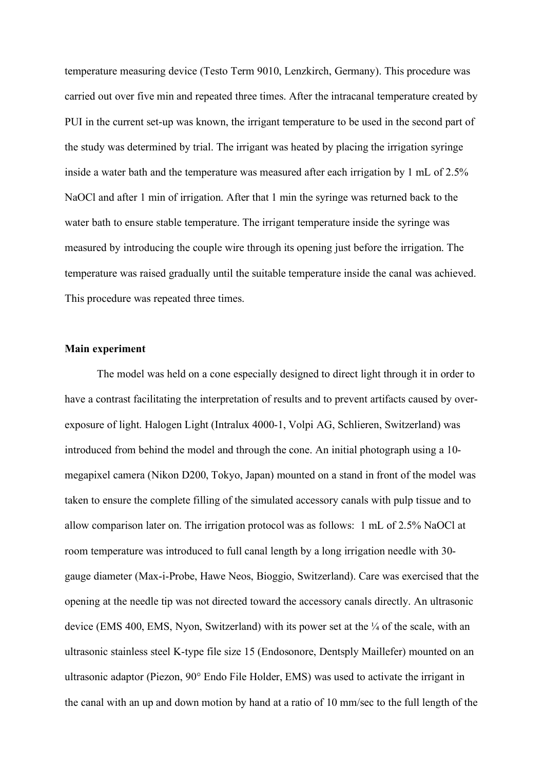temperature measuring device (Testo Term 9010, Lenzkirch, Germany). This procedure was carried out over five min and repeated three times. After the intracanal temperature created by PUI in the current set-up was known, the irrigant temperature to be used in the second part of the study was determined by trial. The irrigant was heated by placing the irrigation syringe inside a water bath and the temperature was measured after each irrigation by 1 mL of 2.5% NaOCl and after 1 min of irrigation. After that 1 min the syringe was returned back to the water bath to ensure stable temperature. The irrigant temperature inside the syringe was measured by introducing the couple wire through its opening just before the irrigation. The temperature was raised gradually until the suitable temperature inside the canal was achieved. This procedure was repeated three times.

#### **Main experiment**

The model was held on a cone especially designed to direct light through it in order to have a contrast facilitating the interpretation of results and to prevent artifacts caused by overexposure of light. Halogen Light (Intralux 4000-1, Volpi AG, Schlieren, Switzerland) was introduced from behind the model and through the cone. An initial photograph using a 10 megapixel camera (Nikon D200, Tokyo, Japan) mounted on a stand in front of the model was taken to ensure the complete filling of the simulated accessory canals with pulp tissue and to allow comparison later on. The irrigation protocol was as follows: 1 mL of 2.5% NaOCl at room temperature was introduced to full canal length by a long irrigation needle with 30 gauge diameter (Max-i-Probe, Hawe Neos, Bioggio, Switzerland). Care was exercised that the opening at the needle tip was not directed toward the accessory canals directly. An ultrasonic device (EMS 400, EMS, Nyon, Switzerland) with its power set at the ¼ of the scale, with an ultrasonic stainless steel K-type file size 15 (Endosonore, Dentsply Maillefer) mounted on an ultrasonic adaptor (Piezon, 90° Endo File Holder, EMS) was used to activate the irrigant in the canal with an up and down motion by hand at a ratio of 10 mm/sec to the full length of the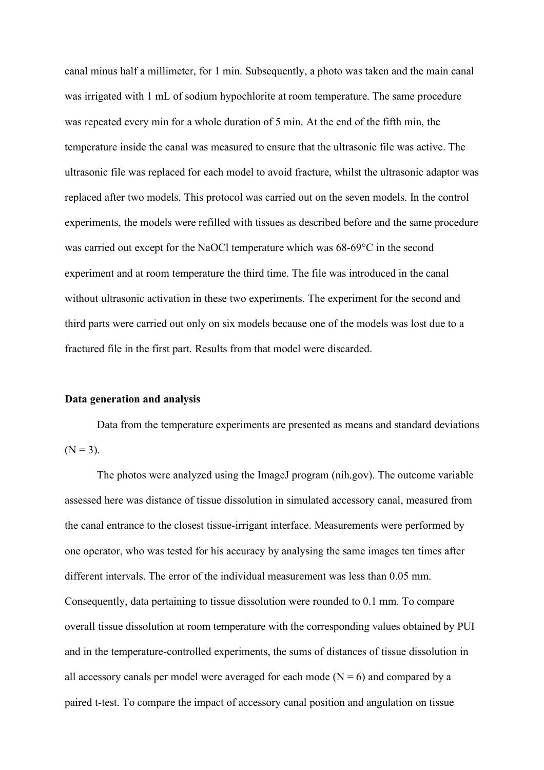canal minus half a millimeter, for 1 min. Subsequently, a photo was taken and the main canal was irrigated with 1 mL of sodium hypochlorite at room temperature. The same procedure was repeated every min for a whole duration of 5 min. At the end of the fifth min, the temperature inside the canal was measured to ensure that the ultrasonic file was active. The ultrasonic file was replaced for each model to avoid fracture, whilst the ultrasonic adaptor was replaced after two models. This protocol was carried out on the seven models. In the control experiments, the models were refilled with tissues as described before and the same procedure was carried out except for the NaOCl temperature which was 68-69°C in the second experiment and at room temperature the third time. The file was introduced in the canal without ultrasonic activation in these two experiments. The experiment for the second and third parts were carried out only on six models because one of the models was lost due to a fractured file in the first part. Results from that model were discarded.

#### **Data generation and analysis**

Data from the temperature experiments are presented as means and standard deviations  $(N = 3)$ .

The photos were analyzed using the ImageJ program (nih.gov). The outcome variable assessed here was distance of tissue dissolution in simulated accessory canal, measured from the canal entrance to the closest tissue-irrigant interface. Measurements were performed by one operator, who was tested for his accuracy by analysing the same images ten times after different intervals. The error of the individual measurement was less than 0.05 mm. Consequently, data pertaining to tissue dissolution were rounded to 0.1 mm. To compare overall tissue dissolution at room temperature with the corresponding values obtained by PUI and in the temperature-controlled experiments, the sums of distances of tissue dissolution in all accessory canals per model were averaged for each mode  $(N = 6)$  and compared by a paired t-test. To compare the impact of accessory canal position and angulation on tissue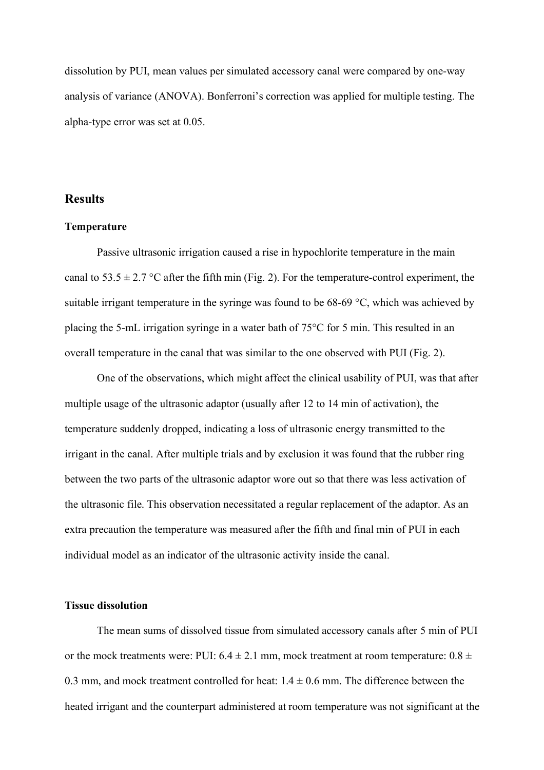dissolution by PUI, mean values per simulated accessory canal were compared by one-way analysis of variance (ANOVA). Bonferroni's correction was applied for multiple testing. The alpha-type error was set at 0.05.

## **Results**

## **Temperature**

Passive ultrasonic irrigation caused a rise in hypochlorite temperature in the main canal to  $53.5 \pm 2.7$  °C after the fifth min (Fig. 2). For the temperature-control experiment, the suitable irrigant temperature in the syringe was found to be 68-69 °C, which was achieved by placing the 5-mL irrigation syringe in a water bath of 75°C for 5 min. This resulted in an overall temperature in the canal that was similar to the one observed with PUI (Fig. 2).

One of the observations, which might affect the clinical usability of PUI, was that after multiple usage of the ultrasonic adaptor (usually after 12 to 14 min of activation), the temperature suddenly dropped, indicating a loss of ultrasonic energy transmitted to the irrigant in the canal. After multiple trials and by exclusion it was found that the rubber ring between the two parts of the ultrasonic adaptor wore out so that there was less activation of the ultrasonic file. This observation necessitated a regular replacement of the adaptor. As an extra precaution the temperature was measured after the fifth and final min of PUI in each individual model as an indicator of the ultrasonic activity inside the canal.

## **Tissue dissolution**

The mean sums of dissolved tissue from simulated accessory canals after 5 min of PUI or the mock treatments were: PUI:  $6.4 \pm 2.1$  mm, mock treatment at room temperature:  $0.8 \pm 1$ 0.3 mm, and mock treatment controlled for heat:  $1.4 \pm 0.6$  mm. The difference between the heated irrigant and the counterpart administered at room temperature was not significant at the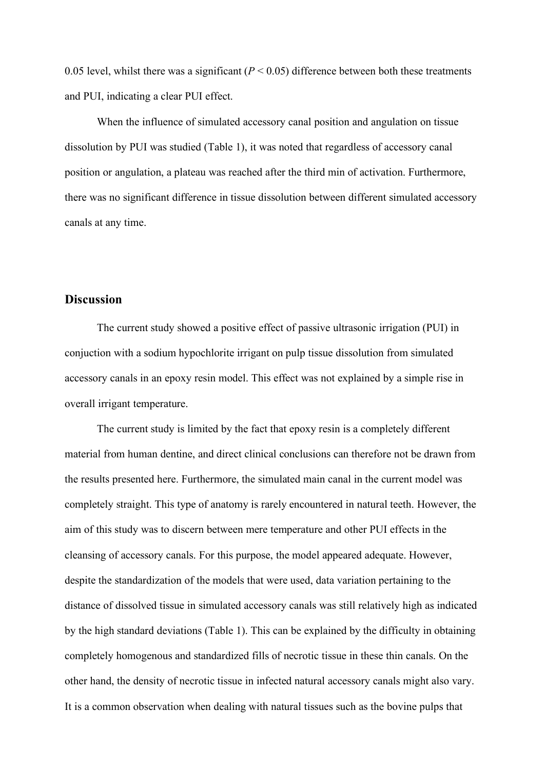0.05 level, whilst there was a significant  $(P < 0.05)$  difference between both these treatments and PUI, indicating a clear PUI effect.

When the influence of simulated accessory canal position and angulation on tissue dissolution by PUI was studied (Table 1), it was noted that regardless of accessory canal position or angulation, a plateau was reached after the third min of activation. Furthermore, there was no significant difference in tissue dissolution between different simulated accessory canals at any time.

## **Discussion**

The current study showed a positive effect of passive ultrasonic irrigation (PUI) in conjuction with a sodium hypochlorite irrigant on pulp tissue dissolution from simulated accessory canals in an epoxy resin model. This effect was not explained by a simple rise in overall irrigant temperature.

The current study is limited by the fact that epoxy resin is a completely different material from human dentine, and direct clinical conclusions can therefore not be drawn from the results presented here. Furthermore, the simulated main canal in the current model was completely straight. This type of anatomy is rarely encountered in natural teeth. However, the aim of this study was to discern between mere temperature and other PUI effects in the cleansing of accessory canals. For this purpose, the model appeared adequate. However, despite the standardization of the models that were used, data variation pertaining to the distance of dissolved tissue in simulated accessory canals was still relatively high as indicated by the high standard deviations (Table 1). This can be explained by the difficulty in obtaining completely homogenous and standardized fills of necrotic tissue in these thin canals. On the other hand, the density of necrotic tissue in infected natural accessory canals might also vary. It is a common observation when dealing with natural tissues such as the bovine pulps that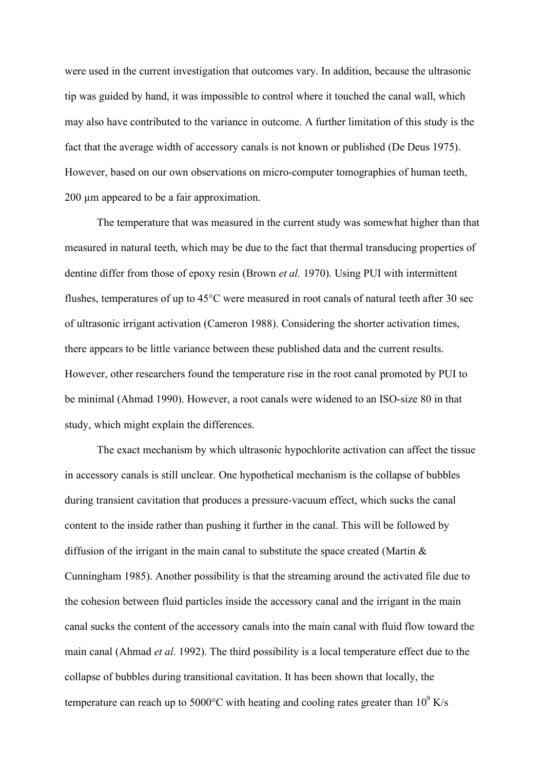were used in the current investigation that outcomes vary. In addition, because the ultrasonic tip was guided by hand, it was impossible to control where it touched the canal wall, which may also have contributed to the variance in outcome. A further limitation of this study is the fact that the average width of accessory canals is not known or published (De Deus 1975). However, based on our own observations on micro-computer tomographies of human teeth, 200 um appeared to be a fair approximation.

The temperature that was measured in the current study was somewhat higher than that measured in natural teeth, which may be due to the fact that thermal transducing properties of dentine differ from those of epoxy resin (Brown *et al.* 1970). Using PUI with intermittent flushes, temperatures of up to 45°C were measured in root canals of natural teeth after 30 sec of ultrasonic irrigant activation (Cameron 1988). Considering the shorter activation times, there appears to be little variance between these published data and the current results. However, other researchers found the temperature rise in the root canal promoted by PUI to be minimal (Ahmad 1990). However, a root canals were widened to an ISO-size 80 in that study, which might explain the differences.

The exact mechanism by which ultrasonic hypochlorite activation can affect the tissue in accessory canals is still unclear. One hypothetical mechanism is the collapse of bubbles during transient cavitation that produces a pressure-vacuum effect, which sucks the canal content to the inside rather than pushing it further in the canal. This will be followed by diffusion of the irrigant in the main canal to substitute the space created (Martin  $\&$ Cunningham 1985). Another possibility is that the streaming around the activated file due to the cohesion between fluid particles inside the accessory canal and the irrigant in the main canal sucks the content of the accessory canals into the main canal with fluid flow toward the main canal (Ahmad *et al.* 1992). The third possibility is a local temperature effect due to the collapse of bubbles during transitional cavitation. It has been shown that locally, the temperature can reach up to 5000°C with heating and cooling rates greater than  $10^9$  K/s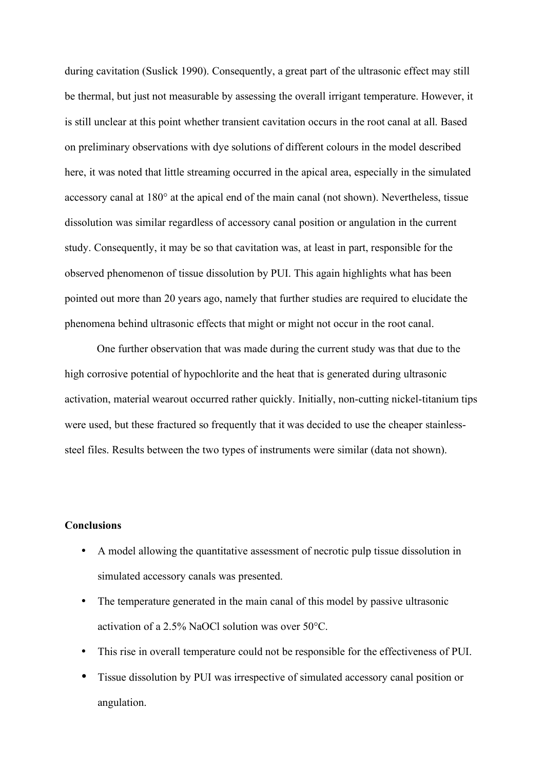during cavitation (Suslick 1990). Consequently, a great part of the ultrasonic effect may still be thermal, but just not measurable by assessing the overall irrigant temperature. However, it is still unclear at this point whether transient cavitation occurs in the root canal at all. Based on preliminary observations with dye solutions of different colours in the model described here, it was noted that little streaming occurred in the apical area, especially in the simulated accessory canal at 180° at the apical end of the main canal (not shown). Nevertheless, tissue dissolution was similar regardless of accessory canal position or angulation in the current study. Consequently, it may be so that cavitation was, at least in part, responsible for the observed phenomenon of tissue dissolution by PUI. This again highlights what has been pointed out more than 20 years ago, namely that further studies are required to elucidate the phenomena behind ultrasonic effects that might or might not occur in the root canal.

One further observation that was made during the current study was that due to the high corrosive potential of hypochlorite and the heat that is generated during ultrasonic activation, material wearout occurred rather quickly. Initially, non-cutting nickel-titanium tips were used, but these fractured so frequently that it was decided to use the cheaper stainlesssteel files. Results between the two types of instruments were similar (data not shown).

#### **Conclusions**

- A model allowing the quantitative assessment of necrotic pulp tissue dissolution in simulated accessory canals was presented.
- The temperature generated in the main canal of this model by passive ultrasonic activation of a 2.5% NaOCl solution was over 50°C.
- This rise in overall temperature could not be responsible for the effectiveness of PUI.
- Tissue dissolution by PUI was irrespective of simulated accessory canal position or angulation.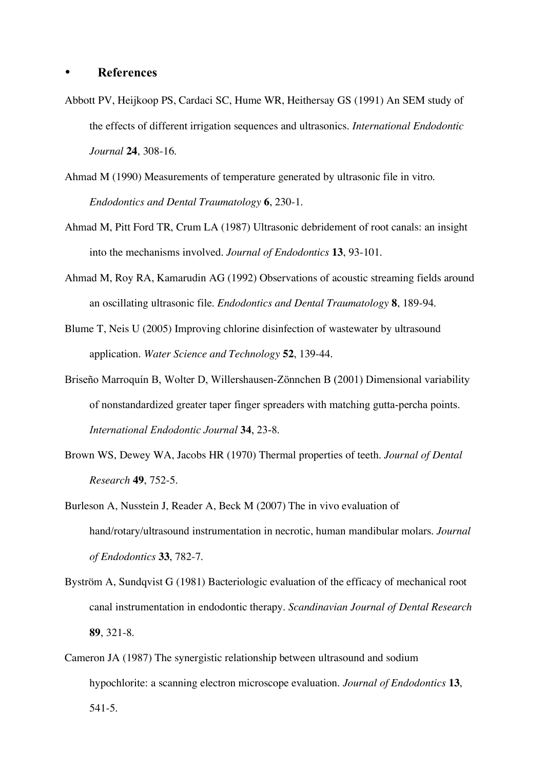#### • **References**

- Abbott PV, Heijkoop PS, Cardaci SC, Hume WR, Heithersay GS (1991) An SEM study of the effects of different irrigation sequences and ultrasonics. *International Endodontic Journal* **24**, 308-16.
- Ahmad M (1990) Measurements of temperature generated by ultrasonic file in vitro. *Endodontics and Dental Traumatology* **6**, 230-1.
- Ahmad M, Pitt Ford TR, Crum LA (1987) Ultrasonic debridement of root canals: an insight into the mechanisms involved. *Journal of Endodontics* **13**, 93-101.
- Ahmad M, Roy RA, Kamarudin AG (1992) Observations of acoustic streaming fields around an oscillating ultrasonic file. *Endodontics and Dental Traumatology* **8**, 189-94.
- Blume T, Neis U (2005) Improving chlorine disinfection of wastewater by ultrasound application. *Water Science and Technology* **52**, 139-44.
- Briseño Marroquín B, Wolter D, Willershausen-Zönnchen B (2001) Dimensional variability of nonstandardized greater taper finger spreaders with matching gutta-percha points. *International Endodontic Journal* **34**, 23-8.
- Brown WS, Dewey WA, Jacobs HR (1970) Thermal properties of teeth. *Journal of Dental Research* **49**, 752-5.
- Burleson A, Nusstein J, Reader A, Beck M (2007) The in vivo evaluation of hand/rotary/ultrasound instrumentation in necrotic, human mandibular molars. *Journal of Endodontics* **33**, 782-7.
- Byström A, Sundqvist G (1981) Bacteriologic evaluation of the efficacy of mechanical root canal instrumentation in endodontic therapy. *Scandinavian Journal of Dental Research* **89**, 321-8.
- Cameron JA (1987) The synergistic relationship between ultrasound and sodium hypochlorite: a scanning electron microscope evaluation. *Journal of Endodontics* **13**, 541-5.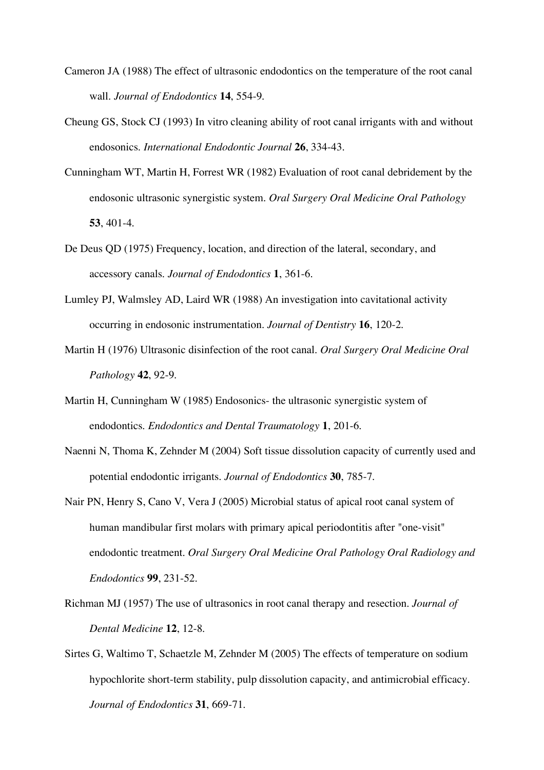- Cameron JA (1988) The effect of ultrasonic endodontics on the temperature of the root canal wall. *Journal of Endodontics* **14**, 554-9.
- Cheung GS, Stock CJ (1993) In vitro cleaning ability of root canal irrigants with and without endosonics. *International Endodontic Journal* **26**, 334-43.
- Cunningham WT, Martin H, Forrest WR (1982) Evaluation of root canal debridement by the endosonic ultrasonic synergistic system. *Oral Surgery Oral Medicine Oral Pathology* **53**, 401-4.
- De Deus QD (1975) Frequency, location, and direction of the lateral, secondary, and accessory canals. *Journal of Endodontics* **1**, 361-6.
- Lumley PJ, Walmsley AD, Laird WR (1988) An investigation into cavitational activity occurring in endosonic instrumentation. *Journal of Dentistry* **16**, 120-2.
- Martin H (1976) Ultrasonic disinfection of the root canal. *Oral Surgery Oral Medicine Oral Pathology* **42**, 92-9.
- Martin H, Cunningham W (1985) Endosonics- the ultrasonic synergistic system of endodontics. *Endodontics and Dental Traumatology* **1**, 201-6.
- Naenni N, Thoma K, Zehnder M (2004) Soft tissue dissolution capacity of currently used and potential endodontic irrigants. *Journal of Endodontics* **30**, 785-7.
- Nair PN, Henry S, Cano V, Vera J (2005) Microbial status of apical root canal system of human mandibular first molars with primary apical periodontitis after "one-visit" endodontic treatment. *Oral Surgery Oral Medicine Oral Pathology Oral Radiology and Endodontics* **99**, 231-52.
- Richman MJ (1957) The use of ultrasonics in root canal therapy and resection. *Journal of Dental Medicine* **12**, 12-8.
- Sirtes G, Waltimo T, Schaetzle M, Zehnder M (2005) The effects of temperature on sodium hypochlorite short-term stability, pulp dissolution capacity, and antimicrobial efficacy. *Journal of Endodontics* **31**, 669-71.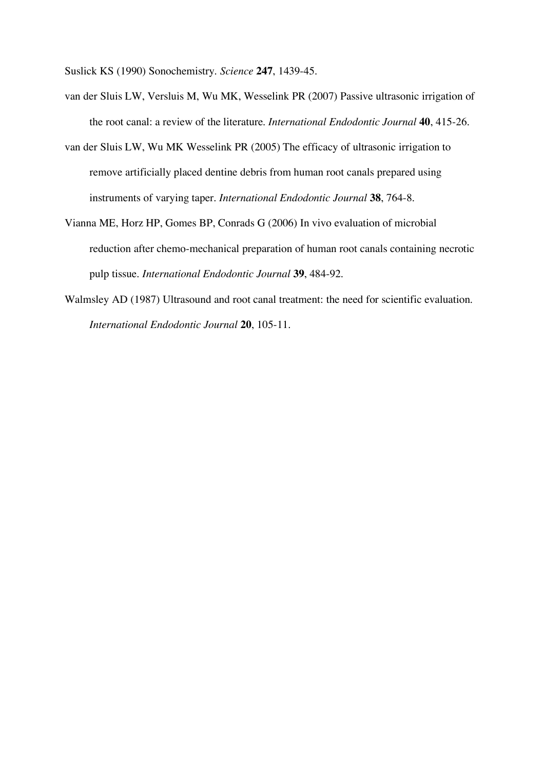Suslick KS (1990) Sonochemistry. *Science* **247**, 1439-45.

- van der Sluis LW, Versluis M, Wu MK, Wesselink PR (2007) Passive ultrasonic irrigation of the root canal: a review of the literature. *International Endodontic Journal* **40**, 415-26.
- van der Sluis LW, Wu MK Wesselink PR (2005) The efficacy of ultrasonic irrigation to remove artificially placed dentine debris from human root canals prepared using instruments of varying taper. *International Endodontic Journal* **38**, 764-8.
- Vianna ME, Horz HP, Gomes BP, Conrads G (2006) In vivo evaluation of microbial reduction after chemo-mechanical preparation of human root canals containing necrotic pulp tissue. *International Endodontic Journal* **39**, 484-92.
- Walmsley AD (1987) Ultrasound and root canal treatment: the need for scientific evaluation. *International Endodontic Journal* **20**, 105-11.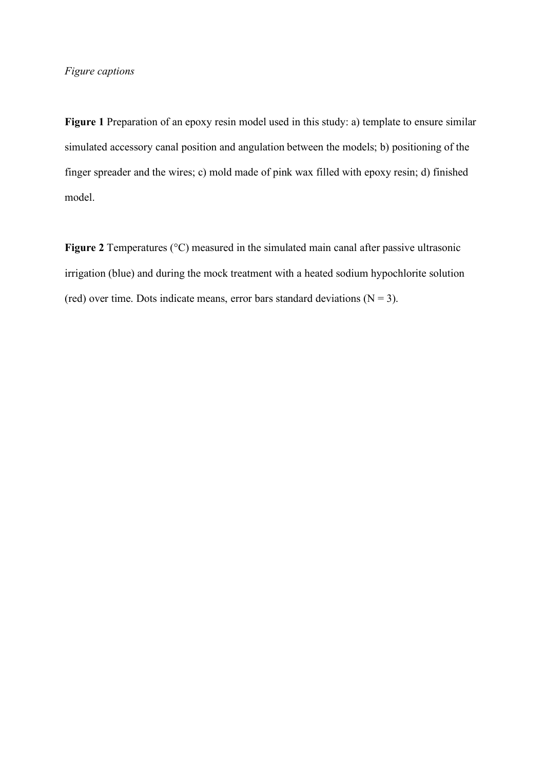## *Figure captions*

**Figure 1** Preparation of an epoxy resin model used in this study: a) template to ensure similar simulated accessory canal position and angulation between the models; b) positioning of the finger spreader and the wires; c) mold made of pink wax filled with epoxy resin; d) finished model.

**Figure 2** Temperatures (°C) measured in the simulated main canal after passive ultrasonic irrigation (blue) and during the mock treatment with a heated sodium hypochlorite solution (red) over time. Dots indicate means, error bars standard deviations  $(N = 3)$ .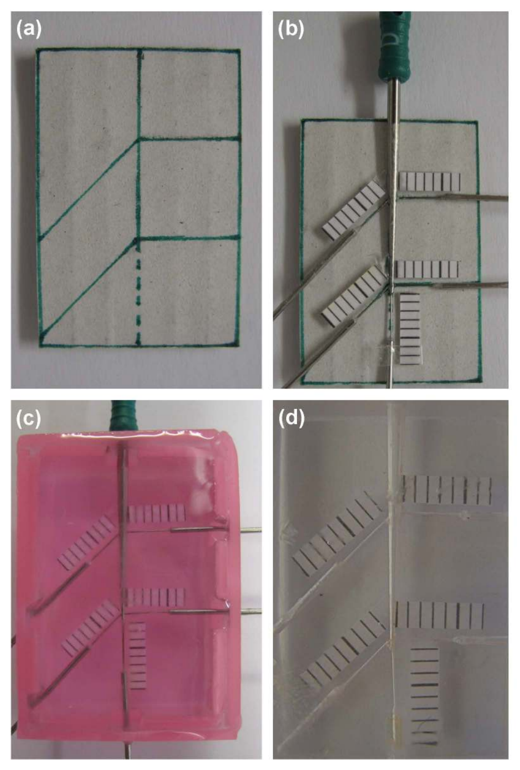





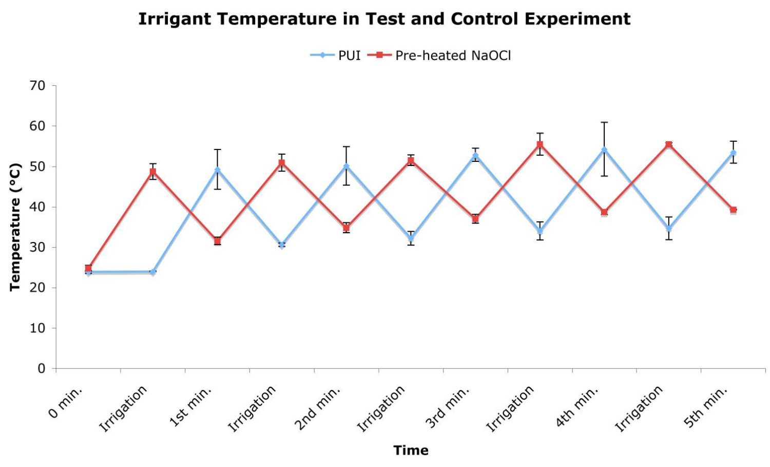## **Irrigant Temperature in Test and Control Experiment**

- PUI - Pre-heated NaOCI



**Time**